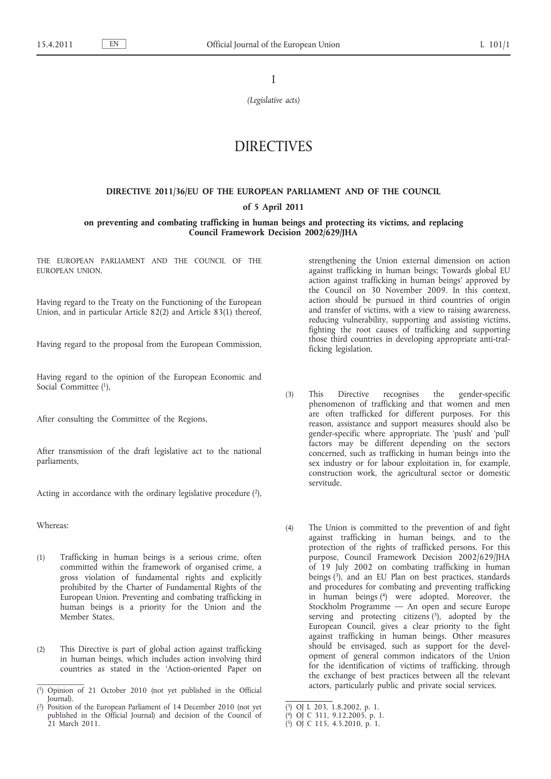I

*(Legislative acts)*

# DIRECTIVES

# **DIRECTIVE 2011/36/EU OF THE EUROPEAN PARLIAMENT AND OF THE COUNCIL**

# **of 5 April 2011**

# **on preventing and combating trafficking in human beings and protecting its victims, and replacing Council Framework Decision 2002/629/JHA**

THE EUROPEAN PARLIAMENT AND THE COUNCIL OF THE EUROPEAN UNION,

Having regard to the Treaty on the Functioning of the European Union, and in particular Article 82(2) and Article 83(1) thereof,

Having regard to the proposal from the European Commission,

Having regard to the opinion of the European Economic and Social Committee (1),

After consulting the Committee of the Regions,

After transmission of the draft legislative act to the national parliaments,

Acting in accordance with the ordinary legislative procedure  $(2)$ ,

Whereas:

- (1) Trafficking in human beings is a serious crime, often committed within the framework of organised crime, a gross violation of fundamental rights and explicitly prohibited by the Charter of Fundamental Rights of the European Union. Preventing and combating trafficking in human beings is a priority for the Union and the Member States.
- (2) This Directive is part of global action against trafficking in human beings, which includes action involving third countries as stated in the 'Action-oriented Paper on

strengthening the Union external dimension on action against trafficking in human beings; Towards global EU action against trafficking in human beings' approved by the Council on 30 November 2009. In this context, action should be pursued in third countries of origin and transfer of victims, with a view to raising awareness, reducing vulnerability, supporting and assisting victims, fighting the root causes of trafficking and supporting those third countries in developing appropriate anti-trafficking legislation.

- (3) This Directive recognises the gender-specific phenomenon of trafficking and that women and men are often trafficked for different purposes. For this reason, assistance and support measures should also be gender-specific where appropriate. The 'push' and 'pull' factors may be different depending on the sectors concerned, such as trafficking in human beings into the sex industry or for labour exploitation in, for example, construction work, the agricultural sector or domestic servitude.
- (4) The Union is committed to the prevention of and fight against trafficking in human beings, and to the protection of the rights of trafficked persons. For this purpose, Council Framework Decision 2002/629/JHA of 19 July 2002 on combating trafficking in human beings (3), and an EU Plan on best practices, standards and procedures for combating and preventing trafficking in human beings (4) were adopted. Moreover, the Stockholm Programme — An open and secure Europe serving and protecting citizens  $(5)$ , adopted by the European Council, gives a clear priority to the fight against trafficking in human beings. Other measures should be envisaged, such as support for the development of general common indicators of the Union for the identification of victims of trafficking, through the exchange of best practices between all the relevant actors, particularly public and private social services.

<sup>(</sup> 1) Opinion of 21 October 2010 (not yet published in the Official Journal).

<sup>(</sup> 2) Position of the European Parliament of 14 December 2010 (not yet published in the Official Journal) and decision of the Council of 21 March 2011.

<sup>(</sup> 3) OJ L 203, 1.8.2002, p. 1.

<sup>(</sup> 4) OJ C 311, 9.12.2005, p. 1.

<sup>(</sup> 5) OJ C 115, 4.5.2010, p. 1.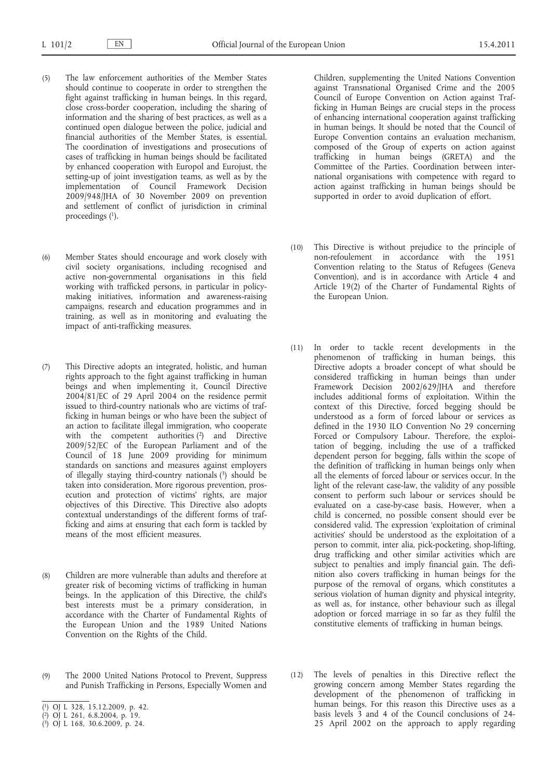- (5) The law enforcement authorities of the Member States should continue to cooperate in order to strengthen the fight against trafficking in human beings. In this regard, close cross-border cooperation, including the sharing of information and the sharing of best practices, as well as a continued open dialogue between the police, judicial and financial authorities of the Member States, is essential. The coordination of investigations and prosecutions of cases of trafficking in human beings should be facilitated by enhanced cooperation with Europol and Eurojust, the setting-up of joint investigation teams, as well as by the implementation of Council Framework Decision 2009/948/JHA of 30 November 2009 on prevention and settlement of conflict of jurisdiction in criminal proceedings (1).
- (6) Member States should encourage and work closely with civil society organisations, including recognised and active non-governmental organisations in this field working with trafficked persons, in particular in policymaking initiatives, information and awareness-raising campaigns, research and education programmes and in training, as well as in monitoring and evaluating the impact of anti-trafficking measures.
- (7) This Directive adopts an integrated, holistic, and human rights approach to the fight against trafficking in human beings and when implementing it, Council Directive 2004/81/EC of 29 April 2004 on the residence permit issued to third-country nationals who are victims of trafficking in human beings or who have been the subject of an action to facilitate illegal immigration, who cooperate with the competent authorities  $(2)$  and Directive 2009/52/EC of the European Parliament and of the Council of 18 June 2009 providing for minimum standards on sanctions and measures against employers of illegally staying third-country nationals (3) should be taken into consideration. More rigorous prevention, prosecution and protection of victims' rights, are major objectives of this Directive. This Directive also adopts contextual understandings of the different forms of trafficking and aims at ensuring that each form is tackled by means of the most efficient measures.
- (8) Children are more vulnerable than adults and therefore at greater risk of becoming victims of trafficking in human beings. In the application of this Directive, the child's best interests must be a primary consideration, in accordance with the Charter of Fundamental Rights of the European Union and the 1989 United Nations Convention on the Rights of the Child.

Children, supplementing the United Nations Convention against Transnational Organised Crime and the 2005 Council of Europe Convention on Action against Trafficking in Human Beings are crucial steps in the process of enhancing international cooperation against trafficking in human beings. It should be noted that the Council of Europe Convention contains an evaluation mechanism, composed of the Group of experts on action against trafficking in human beings (GRETA) and the Committee of the Parties. Coordination between international organisations with competence with regard to action against trafficking in human beings should be supported in order to avoid duplication of effort.

- (10) This Directive is without prejudice to the principle of non-refoulement in accordance with the 1951 Convention relating to the Status of Refugees (Geneva Convention), and is in accordance with Article 4 and Article 19(2) of the Charter of Fundamental Rights of the European Union.
- (11) In order to tackle recent developments in the phenomenon of trafficking in human beings, this Directive adopts a broader concept of what should be considered trafficking in human beings than under Framework Decision 2002/629/JHA and therefore includes additional forms of exploitation. Within the context of this Directive, forced begging should be understood as a form of forced labour or services as defined in the 1930 ILO Convention No 29 concerning Forced or Compulsory Labour. Therefore, the exploitation of begging, including the use of a trafficked dependent person for begging, falls within the scope of the definition of trafficking in human beings only when all the elements of forced labour or services occur. In the light of the relevant case-law, the validity of any possible consent to perform such labour or services should be evaluated on a case-by-case basis. However, when a child is concerned, no possible consent should ever be considered valid. The expression 'exploitation of criminal activities' should be understood as the exploitation of a person to commit, inter alia, pick-pocketing, shop-lifting, drug trafficking and other similar activities which are subject to penalties and imply financial gain. The definition also covers trafficking in human beings for the purpose of the removal of organs, which constitutes a serious violation of human dignity and physical integrity, as well as, for instance, other behaviour such as illegal adoption or forced marriage in so far as they fulfil the constitutive elements of trafficking in human beings.
- (9) The 2000 United Nations Protocol to Prevent, Suppress and Punish Trafficking in Persons, Especially Women and

(12) The levels of penalties in this Directive reflect the growing concern among Member States regarding the development of the phenomenon of trafficking in human beings. For this reason this Directive uses as a basis levels 3 and 4 of the Council conclusions of 24- 25 April 2002 on the approach to apply regarding

<sup>(</sup> 1) OJ L 328, 15.12.2009, p. 42.

<sup>(</sup> 2) OJ L 261, 6.8.2004, p. 19.

<sup>(</sup> 3) OJ L 168, 30.6.2009, p. 24.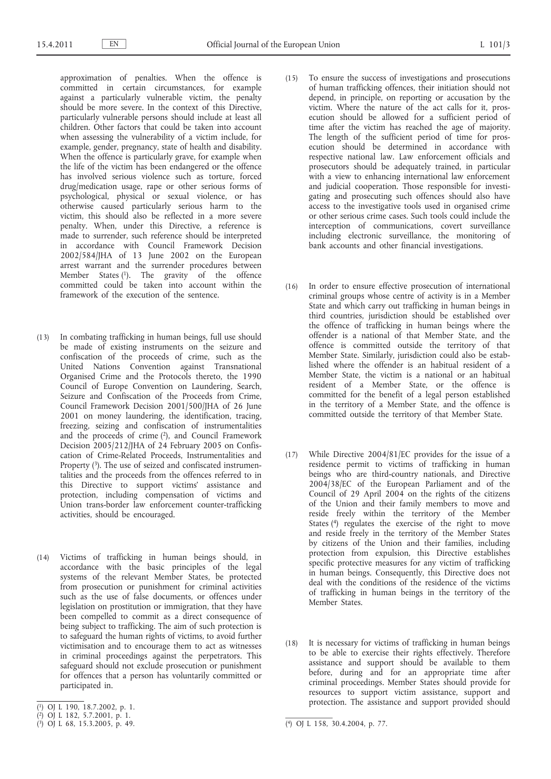approximation of penalties. When the offence is committed in certain circumstances, for example against a particularly vulnerable victim, the penalty should be more severe. In the context of this Directive, particularly vulnerable persons should include at least all children. Other factors that could be taken into account when assessing the vulnerability of a victim include, for example, gender, pregnancy, state of health and disability. When the offence is particularly grave, for example when the life of the victim has been endangered or the offence has involved serious violence such as torture, forced drug/medication usage, rape or other serious forms of psychological, physical or sexual violence, or has otherwise caused particularly serious harm to the victim, this should also be reflected in a more severe penalty. When, under this Directive, a reference is made to surrender, such reference should be interpreted in accordance with Council Framework Decision 2002/584/JHA of 13 June 2002 on the European arrest warrant and the surrender procedures between Member States  $(1)$ . The gravity of the offence committed could be taken into account within the framework of the execution of the sentence.

- (13) In combating trafficking in human beings, full use should be made of existing instruments on the seizure and confiscation of the proceeds of crime, such as the United Nations Convention against Transnational Organised Crime and the Protocols thereto, the 1990 Council of Europe Convention on Laundering, Search, Seizure and Confiscation of the Proceeds from Crime, Council Framework Decision 2001/500/JHA of 26 June 2001 on money laundering, the identification, tracing, freezing, seizing and confiscation of instrumentalities and the proceeds of crime  $(2)$ , and Council Framework Decision 2005/212/JHA of 24 February 2005 on Confiscation of Crime-Related Proceeds, Instrumentalities and Property <sup>(3</sup>). The use of seized and confiscated instrumentalities and the proceeds from the offences referred to in this Directive to support victims' assistance and protection, including compensation of victims and Union trans-border law enforcement counter-trafficking activities, should be encouraged.
- (14) Victims of trafficking in human beings should, in accordance with the basic principles of the legal systems of the relevant Member States, be protected from prosecution or punishment for criminal activities such as the use of false documents, or offences under legislation on prostitution or immigration, that they have been compelled to commit as a direct consequence of being subject to trafficking. The aim of such protection is to safeguard the human rights of victims, to avoid further victimisation and to encourage them to act as witnesses in criminal proceedings against the perpetrators. This safeguard should not exclude prosecution or punishment for offences that a person has voluntarily committed or participated in.
- (15) To ensure the success of investigations and prosecutions of human trafficking offences, their initiation should not depend, in principle, on reporting or accusation by the victim. Where the nature of the act calls for it, prosecution should be allowed for a sufficient period of time after the victim has reached the age of majority. The length of the sufficient period of time for prosecution should be determined in accordance with respective national law. Law enforcement officials and prosecutors should be adequately trained, in particular with a view to enhancing international law enforcement and judicial cooperation. Those responsible for investigating and prosecuting such offences should also have access to the investigative tools used in organised crime or other serious crime cases. Such tools could include the interception of communications, covert surveillance including electronic surveillance, the monitoring of bank accounts and other financial investigations.
- (16) In order to ensure effective prosecution of international criminal groups whose centre of activity is in a Member State and which carry out trafficking in human beings in third countries, jurisdiction should be established over the offence of trafficking in human beings where the offender is a national of that Member State, and the offence is committed outside the territory of that Member State. Similarly, jurisdiction could also be established where the offender is an habitual resident of a Member State, the victim is a national or an habitual resident of a Member State, or the offence is committed for the benefit of a legal person established in the territory of a Member State, and the offence is committed outside the territory of that Member State.
- (17) While Directive 2004/81/EC provides for the issue of a residence permit to victims of trafficking in human beings who are third-country nationals, and Directive 2004/38/EC of the European Parliament and of the Council of 29 April 2004 on the rights of the citizens of the Union and their family members to move and reside freely within the territory of the Member States (4) regulates the exercise of the right to move and reside freely in the territory of the Member States by citizens of the Union and their families, including protection from expulsion, this Directive establishes specific protective measures for any victim of trafficking in human beings. Consequently, this Directive does not deal with the conditions of the residence of the victims of trafficking in human beings in the territory of the Member States.
- (18) It is necessary for victims of trafficking in human beings to be able to exercise their rights effectively. Therefore assistance and support should be available to them before, during and for an appropriate time after criminal proceedings. Member States should provide for resources to support victim assistance, support and protection. The assistance and support provided should

<sup>(</sup> 1) OJ L 190, 18.7.2002, p. 1.

<sup>(</sup> 2) OJ L 182, 5.7.2001, p. 1.

 $(3)$  OJ L 68, 15.3.2005, p. 49.

<sup>(4)</sup> OJ L 158, 30.4.2004, p. 77.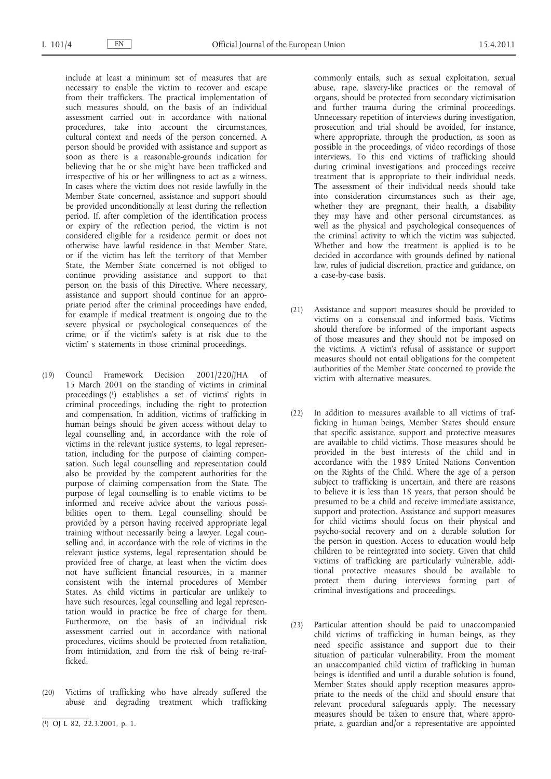include at least a minimum set of measures that are necessary to enable the victim to recover and escape from their traffickers. The practical implementation of such measures should, on the basis of an individual assessment carried out in accordance with national procedures, take into account the circumstances, cultural context and needs of the person concerned. A person should be provided with assistance and support as soon as there is a reasonable-grounds indication for believing that he or she might have been trafficked and irrespective of his or her willingness to act as a witness. In cases where the victim does not reside lawfully in the Member State concerned, assistance and support should be provided unconditionally at least during the reflection period. If, after completion of the identification process or expiry of the reflection period, the victim is not considered eligible for a residence permit or does not otherwise have lawful residence in that Member State, or if the victim has left the territory of that Member State, the Member State concerned is not obliged to continue providing assistance and support to that person on the basis of this Directive. Where necessary, assistance and support should continue for an appropriate period after the criminal proceedings have ended, for example if medical treatment is ongoing due to the severe physical or psychological consequences of the crime, or if the victim's safety is at risk due to the victim' s statements in those criminal proceedings.

- (19) Council Framework Decision 2001/220/JHA of 15 March 2001 on the standing of victims in criminal proceedings (1) establishes a set of victims' rights in criminal proceedings, including the right to protection and compensation. In addition, victims of trafficking in human beings should be given access without delay to legal counselling and, in accordance with the role of victims in the relevant justice systems, to legal representation, including for the purpose of claiming compensation. Such legal counselling and representation could also be provided by the competent authorities for the purpose of claiming compensation from the State. The purpose of legal counselling is to enable victims to be informed and receive advice about the various possibilities open to them. Legal counselling should be provided by a person having received appropriate legal training without necessarily being a lawyer. Legal counselling and, in accordance with the role of victims in the relevant justice systems, legal representation should be provided free of charge, at least when the victim does not have sufficient financial resources, in a manner consistent with the internal procedures of Member States. As child victims in particular are unlikely to have such resources, legal counselling and legal representation would in practice be free of charge for them. Furthermore, on the basis of an individual risk assessment carried out in accordance with national procedures, victims should be protected from retaliation, from intimidation, and from the risk of being re-trafficked.
- (20) Victims of trafficking who have already suffered the abuse and degrading treatment which trafficking

commonly entails, such as sexual exploitation, sexual abuse, rape, slavery-like practices or the removal of organs, should be protected from secondary victimisation and further trauma during the criminal proceedings. Unnecessary repetition of interviews during investigation, prosecution and trial should be avoided, for instance, where appropriate, through the production, as soon as possible in the proceedings, of video recordings of those interviews. To this end victims of trafficking should during criminal investigations and proceedings receive treatment that is appropriate to their individual needs. The assessment of their individual needs should take into consideration circumstances such as their age, whether they are pregnant, their health, a disability they may have and other personal circumstances, as well as the physical and psychological consequences of the criminal activity to which the victim was subjected. Whether and how the treatment is applied is to be decided in accordance with grounds defined by national law, rules of judicial discretion, practice and guidance, on a case-by-case basis.

- (21) Assistance and support measures should be provided to victims on a consensual and informed basis. Victims should therefore be informed of the important aspects of those measures and they should not be imposed on the victims. A victim's refusal of assistance or support measures should not entail obligations for the competent authorities of the Member State concerned to provide the victim with alternative measures.
- (22) In addition to measures available to all victims of trafficking in human beings, Member States should ensure that specific assistance, support and protective measures are available to child victims. Those measures should be provided in the best interests of the child and in accordance with the 1989 United Nations Convention on the Rights of the Child. Where the age of a person subject to trafficking is uncertain, and there are reasons to believe it is less than 18 years, that person should be presumed to be a child and receive immediate assistance, support and protection. Assistance and support measures for child victims should focus on their physical and psycho-social recovery and on a durable solution for the person in question. Access to education would help children to be reintegrated into society. Given that child victims of trafficking are particularly vulnerable, additional protective measures should be available to protect them during interviews forming part of criminal investigations and proceedings.
- (23) Particular attention should be paid to unaccompanied child victims of trafficking in human beings, as they need specific assistance and support due to their situation of particular vulnerability. From the moment an unaccompanied child victim of trafficking in human beings is identified and until a durable solution is found, Member States should apply reception measures appropriate to the needs of the child and should ensure that relevant procedural safeguards apply. The necessary measures should be taken to ensure that, where appropriate, a guardian and/or a representative are appointed

<sup>(</sup> 1) OJ L 82, 22.3.2001, p. 1.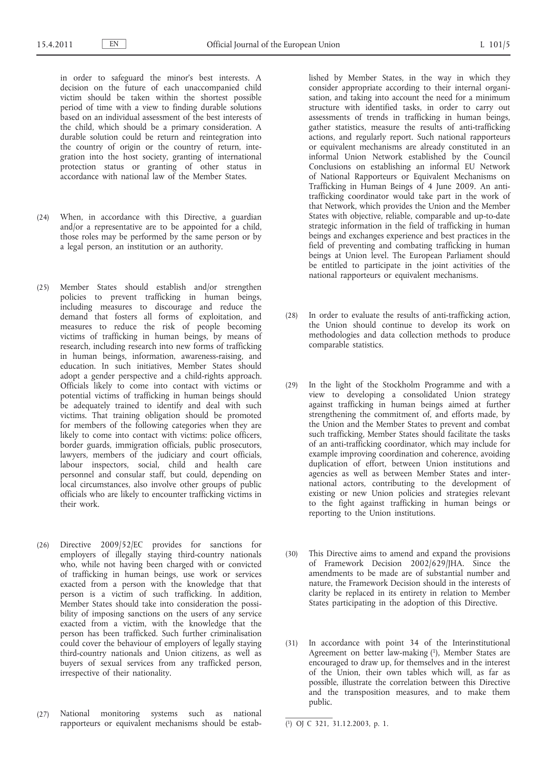in order to safeguard the minor's best interests. A decision on the future of each unaccompanied child victim should be taken within the shortest possible period of time with a view to finding durable solutions based on an individual assessment of the best interests of the child, which should be a primary consideration. A durable solution could be return and reintegration into the country of origin or the country of return, integration into the host society, granting of international protection status or granting of other status in accordance with national law of the Member States.

- (24) When, in accordance with this Directive, a guardian and/or a representative are to be appointed for a child, those roles may be performed by the same person or by a legal person, an institution or an authority.
- (25) Member States should establish and/or strengthen policies to prevent trafficking in human beings, including measures to discourage and reduce the demand that fosters all forms of exploitation, and measures to reduce the risk of people becoming victims of trafficking in human beings, by means of research, including research into new forms of trafficking in human beings, information, awareness-raising, and education. In such initiatives, Member States should adopt a gender perspective and a child-rights approach. Officials likely to come into contact with victims or potential victims of trafficking in human beings should be adequately trained to identify and deal with such victims. That training obligation should be promoted for members of the following categories when they are likely to come into contact with victims: police officers, border guards, immigration officials, public prosecutors, lawyers, members of the judiciary and court officials, labour inspectors, social, child and health care personnel and consular staff, but could, depending on local circumstances, also involve other groups of public officials who are likely to encounter trafficking victims in their work.
- (26) Directive 2009/52/EC provides for sanctions for employers of illegally staying third-country nationals who, while not having been charged with or convicted of trafficking in human beings, use work or services exacted from a person with the knowledge that that person is a victim of such trafficking. In addition, Member States should take into consideration the possibility of imposing sanctions on the users of any service exacted from a victim, with the knowledge that the person has been trafficked. Such further criminalisation could cover the behaviour of employers of legally staying third-country nationals and Union citizens, as well as buyers of sexual services from any trafficked person, irrespective of their nationality.
- (27) National monitoring systems such as national rapporteurs or equivalent mechanisms should be estab-

lished by Member States, in the way in which they consider appropriate according to their internal organisation, and taking into account the need for a minimum structure with identified tasks, in order to carry out assessments of trends in trafficking in human beings, gather statistics, measure the results of anti-trafficking actions, and regularly report. Such national rapporteurs or equivalent mechanisms are already constituted in an informal Union Network established by the Council Conclusions on establishing an informal EU Network of National Rapporteurs or Equivalent Mechanisms on Trafficking in Human Beings of 4 June 2009. An antitrafficking coordinator would take part in the work of that Network, which provides the Union and the Member States with objective, reliable, comparable and up-to-date strategic information in the field of trafficking in human beings and exchanges experience and best practices in the field of preventing and combating trafficking in human beings at Union level. The European Parliament should be entitled to participate in the joint activities of the national rapporteurs or equivalent mechanisms.

- (28) In order to evaluate the results of anti-trafficking action, the Union should continue to develop its work on methodologies and data collection methods to produce comparable statistics.
- (29) In the light of the Stockholm Programme and with a view to developing a consolidated Union strategy against trafficking in human beings aimed at further strengthening the commitment of, and efforts made, by the Union and the Member States to prevent and combat such trafficking, Member States should facilitate the tasks of an anti-trafficking coordinator, which may include for example improving coordination and coherence, avoiding duplication of effort, between Union institutions and agencies as well as between Member States and international actors, contributing to the development of existing or new Union policies and strategies relevant to the fight against trafficking in human beings or reporting to the Union institutions.
- (30) This Directive aims to amend and expand the provisions of Framework Decision 2002/629/JHA. Since the amendments to be made are of substantial number and nature, the Framework Decision should in the interests of clarity be replaced in its entirety in relation to Member States participating in the adoption of this Directive.
- (31) In accordance with point 34 of the Interinstitutional Agreement on better law-making  $(1)$ , Member States are encouraged to draw up, for themselves and in the interest of the Union, their own tables which will, as far as possible, illustrate the correlation between this Directive and the transposition measures, and to make them public.

<sup>(</sup> 1) OJ C 321, 31.12.2003, p. 1.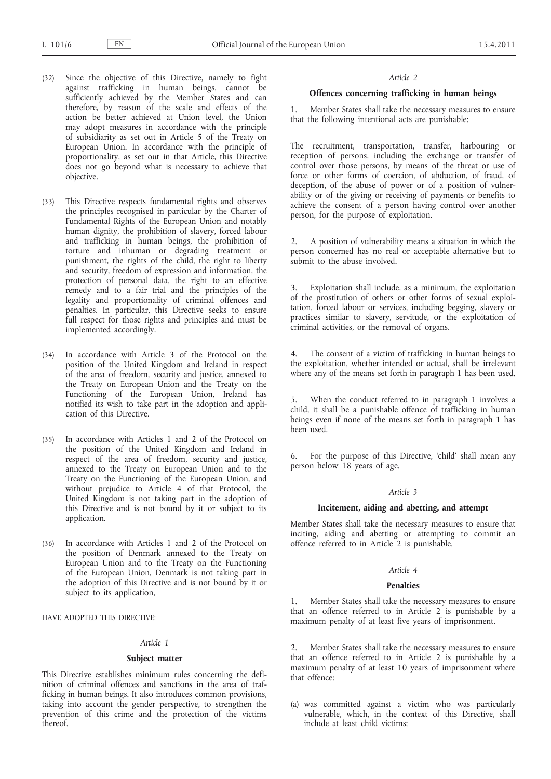- (32) Since the objective of this Directive, namely to fight against trafficking in human beings, cannot be sufficiently achieved by the Member States and can therefore, by reason of the scale and effects of the action be better achieved at Union level, the Union may adopt measures in accordance with the principle of subsidiarity as set out in Article 5 of the Treaty on European Union. In accordance with the principle of proportionality, as set out in that Article, this Directive does not go beyond what is necessary to achieve that objective.
- (33) This Directive respects fundamental rights and observes the principles recognised in particular by the Charter of Fundamental Rights of the European Union and notably human dignity, the prohibition of slavery, forced labour and trafficking in human beings, the prohibition of torture and inhuman or degrading treatment or punishment, the rights of the child, the right to liberty and security, freedom of expression and information, the protection of personal data, the right to an effective remedy and to a fair trial and the principles of the legality and proportionality of criminal offences and penalties. In particular, this Directive seeks to ensure full respect for those rights and principles and must be implemented accordingly.
- (34) In accordance with Article 3 of the Protocol on the position of the United Kingdom and Ireland in respect of the area of freedom, security and justice, annexed to the Treaty on European Union and the Treaty on the Functioning of the European Union, Ireland has notified its wish to take part in the adoption and application of this Directive.
- (35) In accordance with Articles 1 and 2 of the Protocol on the position of the United Kingdom and Ireland in respect of the area of freedom, security and justice, annexed to the Treaty on European Union and to the Treaty on the Functioning of the European Union, and without prejudice to Article 4 of that Protocol, the United Kingdom is not taking part in the adoption of this Directive and is not bound by it or subject to its application.
- (36) In accordance with Articles 1 and 2 of the Protocol on the position of Denmark annexed to the Treaty on European Union and to the Treaty on the Functioning of the European Union, Denmark is not taking part in the adoption of this Directive and is not bound by it or subject to its application,

HAVE ADOPTED THIS DIRECTIVE:

# *Article 1*

## **Subject matter**

This Directive establishes minimum rules concerning the definition of criminal offences and sanctions in the area of trafficking in human beings. It also introduces common provisions, taking into account the gender perspective, to strengthen the prevention of this crime and the protection of the victims thereof.

#### *Article 2*

# **Offences concerning trafficking in human beings**

1. Member States shall take the necessary measures to ensure that the following intentional acts are punishable:

The recruitment, transportation, transfer, harbouring or reception of persons, including the exchange or transfer of control over those persons, by means of the threat or use of force or other forms of coercion, of abduction, of fraud, of deception, of the abuse of power or of a position of vulnerability or of the giving or receiving of payments or benefits to achieve the consent of a person having control over another person, for the purpose of exploitation.

2. A position of vulnerability means a situation in which the person concerned has no real or acceptable alternative but to submit to the abuse involved.

Exploitation shall include, as a minimum, the exploitation of the prostitution of others or other forms of sexual exploitation, forced labour or services, including begging, slavery or practices similar to slavery, servitude, or the exploitation of criminal activities, or the removal of organs.

4. The consent of a victim of trafficking in human beings to the exploitation, whether intended or actual, shall be irrelevant where any of the means set forth in paragraph 1 has been used.

When the conduct referred to in paragraph 1 involves a child, it shall be a punishable offence of trafficking in human beings even if none of the means set forth in paragraph 1 has been used.

6. For the purpose of this Directive, 'child' shall mean any person below 18 years of age.

# *Article 3*

## **Incitement, aiding and abetting, and attempt**

Member States shall take the necessary measures to ensure that inciting, aiding and abetting or attempting to commit an offence referred to in Article 2 is punishable.

#### *Article 4*

#### **Penalties**

Member States shall take the necessary measures to ensure that an offence referred to in Article 2 is punishable by a maximum penalty of at least five years of imprisonment.

2. Member States shall take the necessary measures to ensure that an offence referred to in Article 2 is punishable by a maximum penalty of at least 10 years of imprisonment where that offence:

(a) was committed against a victim who was particularly vulnerable, which, in the context of this Directive, shall include at least child victims;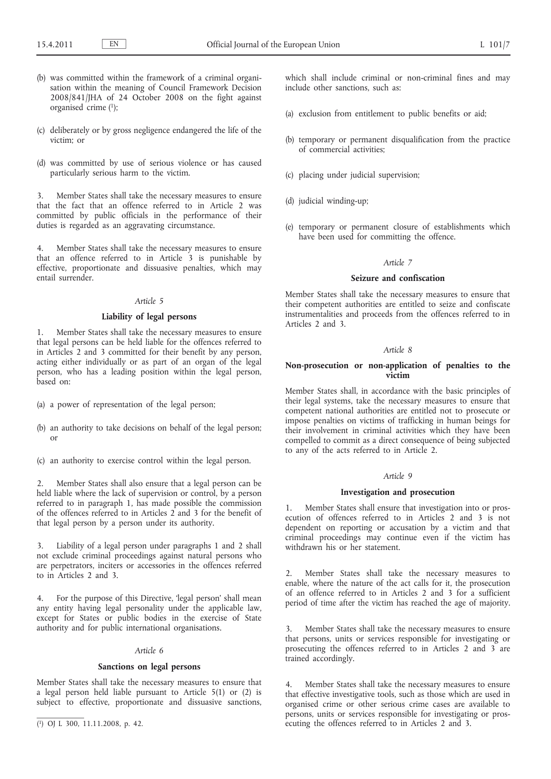- (b) was committed within the framework of a criminal organisation within the meaning of Council Framework Decision 2008/841/JHA of 24 October 2008 on the fight against organised crime (1);
- (c) deliberately or by gross negligence endangered the life of the victim; or
- (d) was committed by use of serious violence or has caused particularly serious harm to the victim.

3. Member States shall take the necessary measures to ensure that the fact that an offence referred to in Article 2 was committed by public officials in the performance of their duties is regarded as an aggravating circumstance.

4. Member States shall take the necessary measures to ensure that an offence referred to in Article  $3$  is punishable by effective, proportionate and dissuasive penalties, which may entail surrender.

# *Article 5*

# **Liability of legal persons**

1. Member States shall take the necessary measures to ensure that legal persons can be held liable for the offences referred to in Articles 2 and 3 committed for their benefit by any person, acting either individually or as part of an organ of the legal person, who has a leading position within the legal person, based on:

- (a) a power of representation of the legal person;
- (b) an authority to take decisions on behalf of the legal person; or
- (c) an authority to exercise control within the legal person.

2. Member States shall also ensure that a legal person can be held liable where the lack of supervision or control, by a person referred to in paragraph 1, has made possible the commission of the offences referred to in Articles 2 and 3 for the benefit of that legal person by a person under its authority.

3. Liability of a legal person under paragraphs 1 and 2 shall not exclude criminal proceedings against natural persons who are perpetrators, inciters or accessories in the offences referred to in Articles 2 and 3.

4. For the purpose of this Directive, 'legal person' shall mean any entity having legal personality under the applicable law, except for States or public bodies in the exercise of State authority and for public international organisations.

#### *Article 6*

## **Sanctions on legal persons**

Member States shall take the necessary measures to ensure that a legal person held liable pursuant to Article 5(1) or (2) is subject to effective, proportionate and dissuasive sanctions, which shall include criminal or non-criminal fines and may include other sanctions, such as:

- (a) exclusion from entitlement to public benefits or aid;
- (b) temporary or permanent disqualification from the practice of commercial activities;
- (c) placing under judicial supervision;
- (d) judicial winding-up;
- (e) temporary or permanent closure of establishments which have been used for committing the offence.

# *Article 7*

# **Seizure and confiscation**

Member States shall take the necessary measures to ensure that their competent authorities are entitled to seize and confiscate instrumentalities and proceeds from the offences referred to in Articles 2 and 3.

## *Article 8*

# **Non-prosecution or non-application of penalties to the victim**

Member States shall, in accordance with the basic principles of their legal systems, take the necessary measures to ensure that competent national authorities are entitled not to prosecute or impose penalties on victims of trafficking in human beings for their involvement in criminal activities which they have been compelled to commit as a direct consequence of being subjected to any of the acts referred to in Article 2.

# *Article 9*

# **Investigation and prosecution**

1. Member States shall ensure that investigation into or prosecution of offences referred to in Articles 2 and 3 is not dependent on reporting or accusation by a victim and that criminal proceedings may continue even if the victim has withdrawn his or her statement.

2. Member States shall take the necessary measures to enable, where the nature of the act calls for it, the prosecution of an offence referred to in Articles 2 and 3 for a sufficient period of time after the victim has reached the age of majority.

3. Member States shall take the necessary measures to ensure that persons, units or services responsible for investigating or prosecuting the offences referred to in Articles 2 and 3 are trained accordingly.

Member States shall take the necessary measures to ensure that effective investigative tools, such as those which are used in organised crime or other serious crime cases are available to persons, units or services responsible for investigating or prosecuting the offences referred to in Articles 2 and 3.

<sup>(</sup> 1) OJ L 300, 11.11.2008, p. 42.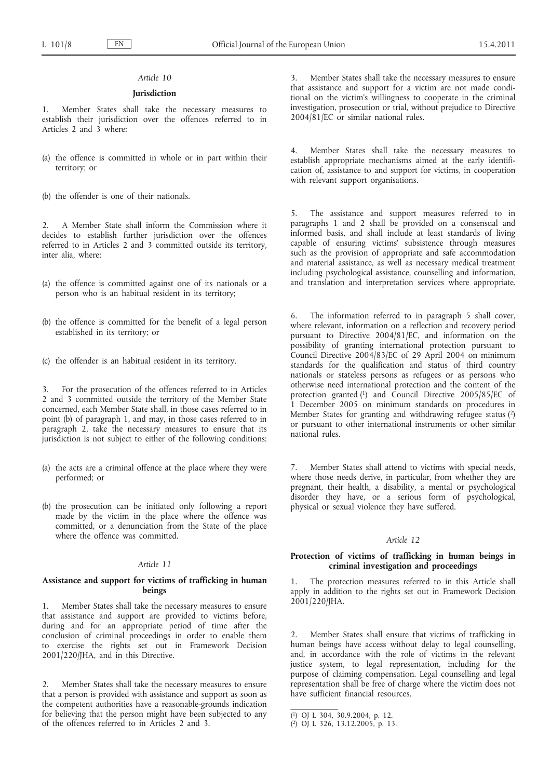# *Article 10*

# **Jurisdiction**

1. Member States shall take the necessary measures to establish their jurisdiction over the offences referred to in Articles 2 and 3 where:

- (a) the offence is committed in whole or in part within their territory; or
- (b) the offender is one of their nationals.

2. A Member State shall inform the Commission where it decides to establish further jurisdiction over the offences referred to in Articles 2 and 3 committed outside its territory, inter alia, where:

- (a) the offence is committed against one of its nationals or a person who is an habitual resident in its territory;
- (b) the offence is committed for the benefit of a legal person established in its territory; or
- (c) the offender is an habitual resident in its territory.

3. For the prosecution of the offences referred to in Articles 2 and 3 committed outside the territory of the Member State concerned, each Member State shall, in those cases referred to in point (b) of paragraph 1, and may, in those cases referred to in paragraph 2, take the necessary measures to ensure that its jurisdiction is not subject to either of the following conditions:

- (a) the acts are a criminal offence at the place where they were performed; or
- (b) the prosecution can be initiated only following a report made by the victim in the place where the offence was committed, or a denunciation from the State of the place where the offence was committed.

# *Article 11*

# **Assistance and support for victims of trafficking in human beings**

1. Member States shall take the necessary measures to ensure that assistance and support are provided to victims before, during and for an appropriate period of time after the conclusion of criminal proceedings in order to enable them to exercise the rights set out in Framework Decision 2001/220/JHA, and in this Directive.

Member States shall take the necessary measures to ensure that a person is provided with assistance and support as soon as the competent authorities have a reasonable-grounds indication for believing that the person might have been subjected to any of the offences referred to in Articles 2 and 3.

3. Member States shall take the necessary measures to ensure that assistance and support for a victim are not made conditional on the victim's willingness to cooperate in the criminal investigation, prosecution or trial, without prejudice to Directive 2004/81/EC or similar national rules.

4. Member States shall take the necessary measures to establish appropriate mechanisms aimed at the early identification of, assistance to and support for victims, in cooperation with relevant support organisations.

5. The assistance and support measures referred to in paragraphs 1 and 2 shall be provided on a consensual and informed basis, and shall include at least standards of living capable of ensuring victims' subsistence through measures such as the provision of appropriate and safe accommodation and material assistance, as well as necessary medical treatment including psychological assistance, counselling and information, and translation and interpretation services where appropriate.

The information referred to in paragraph 5 shall cover, where relevant, information on a reflection and recovery period pursuant to Directive 2004/81/EC, and information on the possibility of granting international protection pursuant to Council Directive 2004/83/EC of 29 April 2004 on minimum standards for the qualification and status of third country nationals or stateless persons as refugees or as persons who otherwise need international protection and the content of the protection granted (1) and Council Directive 2005/85/EC of 1 December 2005 on minimum standards on procedures in Member States for granting and withdrawing refugee status (2) or pursuant to other international instruments or other similar national rules.

7. Member States shall attend to victims with special needs, where those needs derive, in particular, from whether they are pregnant, their health, a disability, a mental or psychological disorder they have, or a serious form of psychological, physical or sexual violence they have suffered.

# *Article 12*

# **Protection of victims of trafficking in human beings in criminal investigation and proceedings**

1. The protection measures referred to in this Article shall apply in addition to the rights set out in Framework Decision 2001/220/JHA.

2. Member States shall ensure that victims of trafficking in human beings have access without delay to legal counselling, and, in accordance with the role of victims in the relevant justice system, to legal representation, including for the purpose of claiming compensation. Legal counselling and legal representation shall be free of charge where the victim does not have sufficient financial resources.

<sup>(</sup> 1) OJ L 304, 30.9.2004, p. 12.

<sup>(</sup> 2) OJ L 326, 13.12.2005, p. 13.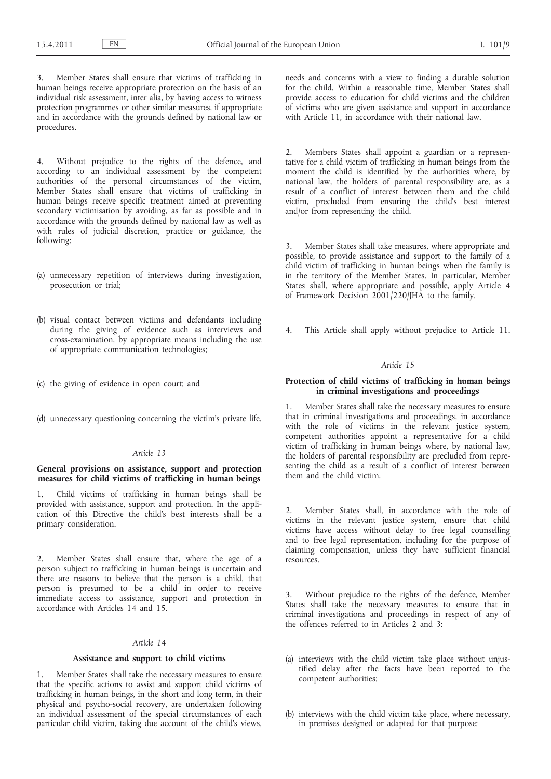3. Member States shall ensure that victims of trafficking in human beings receive appropriate protection on the basis of an individual risk assessment, inter alia, by having access to witness protection programmes or other similar measures, if appropriate and in accordance with the grounds defined by national law or procedures.

4. Without prejudice to the rights of the defence, and according to an individual assessment by the competent authorities of the personal circumstances of the victim, Member States shall ensure that victims of trafficking in human beings receive specific treatment aimed at preventing secondary victimisation by avoiding, as far as possible and in accordance with the grounds defined by national law as well as with rules of judicial discretion, practice or guidance, the following:

- (a) unnecessary repetition of interviews during investigation, prosecution or trial;
- (b) visual contact between victims and defendants including during the giving of evidence such as interviews and cross-examination, by appropriate means including the use of appropriate communication technologies;
- (c) the giving of evidence in open court; and
- (d) unnecessary questioning concerning the victim's private life.

# *Article 13*

# **General provisions on assistance, support and protection measures for child victims of trafficking in human beings**

1. Child victims of trafficking in human beings shall be provided with assistance, support and protection. In the application of this Directive the child's best interests shall be a primary consideration.

2. Member States shall ensure that, where the age of a person subject to trafficking in human beings is uncertain and there are reasons to believe that the person is a child, that person is presumed to be a child in order to receive immediate access to assistance, support and protection in accordance with Articles 14 and 15.

# *Article 14*

## **Assistance and support to child victims**

1. Member States shall take the necessary measures to ensure that the specific actions to assist and support child victims of trafficking in human beings, in the short and long term, in their physical and psycho-social recovery, are undertaken following an individual assessment of the special circumstances of each particular child victim, taking due account of the child's views,

needs and concerns with a view to finding a durable solution for the child. Within a reasonable time, Member States shall provide access to education for child victims and the children of victims who are given assistance and support in accordance with Article 11, in accordance with their national law.

2. Members States shall appoint a guardian or a representative for a child victim of trafficking in human beings from the moment the child is identified by the authorities where, by national law, the holders of parental responsibility are, as a result of a conflict of interest between them and the child victim, precluded from ensuring the child's best interest and/or from representing the child.

3. Member States shall take measures, where appropriate and possible, to provide assistance and support to the family of a child victim of trafficking in human beings when the family is in the territory of the Member States. In particular, Member States shall, where appropriate and possible, apply Article 4 of Framework Decision 2001/220/JHA to the family.

4. This Article shall apply without prejudice to Article 11.

## *Article 15*

# **Protection of child victims of trafficking in human beings in criminal investigations and proceedings**

1. Member States shall take the necessary measures to ensure that in criminal investigations and proceedings, in accordance with the role of victims in the relevant justice system, competent authorities appoint a representative for a child victim of trafficking in human beings where, by national law, the holders of parental responsibility are precluded from representing the child as a result of a conflict of interest between them and the child victim.

2. Member States shall, in accordance with the role of victims in the relevant justice system, ensure that child victims have access without delay to free legal counselling and to free legal representation, including for the purpose of claiming compensation, unless they have sufficient financial resources.

3. Without prejudice to the rights of the defence, Member States shall take the necessary measures to ensure that in criminal investigations and proceedings in respect of any of the offences referred to in Articles 2 and 3:

- (a) interviews with the child victim take place without unjustified delay after the facts have been reported to the competent authorities;
- (b) interviews with the child victim take place, where necessary, in premises designed or adapted for that purpose;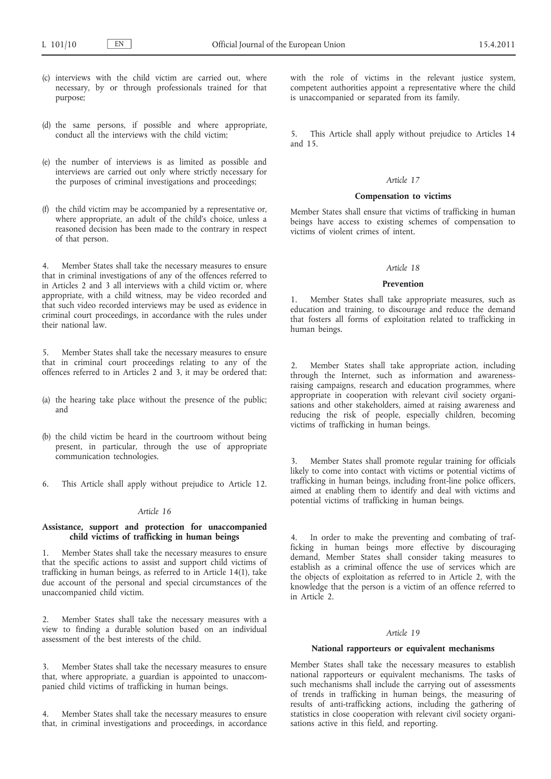- (c) interviews with the child victim are carried out, where necessary, by or through professionals trained for that purpose;
- (d) the same persons, if possible and where appropriate, conduct all the interviews with the child victim;
- (e) the number of interviews is as limited as possible and interviews are carried out only where strictly necessary for the purposes of criminal investigations and proceedings;
- (f) the child victim may be accompanied by a representative or, where appropriate, an adult of the child's choice, unless a reasoned decision has been made to the contrary in respect of that person.

4. Member States shall take the necessary measures to ensure that in criminal investigations of any of the offences referred to in Articles 2 and 3 all interviews with a child victim or, where appropriate, with a child witness, may be video recorded and that such video recorded interviews may be used as evidence in criminal court proceedings, in accordance with the rules under their national law.

5. Member States shall take the necessary measures to ensure that in criminal court proceedings relating to any of the offences referred to in Articles 2 and 3, it may be ordered that:

- (a) the hearing take place without the presence of the public; and
- (b) the child victim be heard in the courtroom without being present, in particular, through the use of appropriate communication technologies.
- 6. This Article shall apply without prejudice to Article 12.

## *Article 16*

# **Assistance, support and protection for unaccompanied child victims of trafficking in human beings**

1. Member States shall take the necessary measures to ensure that the specific actions to assist and support child victims of trafficking in human beings, as referred to in Article 14(1), take due account of the personal and special circumstances of the unaccompanied child victim.

2. Member States shall take the necessary measures with a view to finding a durable solution based on an individual assessment of the best interests of the child.

3. Member States shall take the necessary measures to ensure that, where appropriate, a guardian is appointed to unaccompanied child victims of trafficking in human beings.

4. Member States shall take the necessary measures to ensure that, in criminal investigations and proceedings, in accordance with the role of victims in the relevant justice system, competent authorities appoint a representative where the child is unaccompanied or separated from its family.

5. This Article shall apply without prejudice to Articles 14 and 15.

# *Article 17*

## **Compensation to victims**

Member States shall ensure that victims of trafficking in human beings have access to existing schemes of compensation to victims of violent crimes of intent.

# *Article 18*

#### **Prevention**

Member States shall take appropriate measures, such as education and training, to discourage and reduce the demand that fosters all forms of exploitation related to trafficking in human beings.

2. Member States shall take appropriate action, including through the Internet, such as information and awarenessraising campaigns, research and education programmes, where appropriate in cooperation with relevant civil society organisations and other stakeholders, aimed at raising awareness and reducing the risk of people, especially children, becoming victims of trafficking in human beings.

3. Member States shall promote regular training for officials likely to come into contact with victims or potential victims of trafficking in human beings, including front-line police officers, aimed at enabling them to identify and deal with victims and potential victims of trafficking in human beings.

In order to make the preventing and combating of trafficking in human beings more effective by discouraging demand, Member States shall consider taking measures to establish as a criminal offence the use of services which are the objects of exploitation as referred to in Article 2, with the knowledge that the person is a victim of an offence referred to in Article 2.

#### *Article 19*

#### **National rapporteurs or equivalent mechanisms**

Member States shall take the necessary measures to establish national rapporteurs or equivalent mechanisms. The tasks of such mechanisms shall include the carrying out of assessments of trends in trafficking in human beings, the measuring of results of anti-trafficking actions, including the gathering of statistics in close cooperation with relevant civil society organisations active in this field, and reporting.